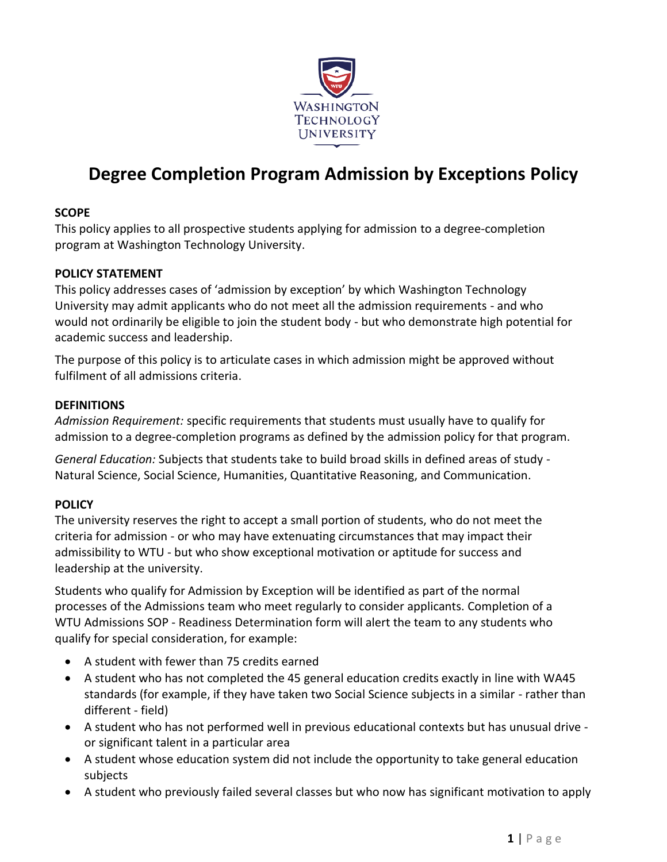

# **Degree Completion Program Admission by Exceptions Policy**

## **SCOPE**

This policy applies to all prospective students applying for admission to a degree-completion program at Washington Technology University.

### **POLICY STATEMENT**

This policy addresses cases of 'admission by exception' by which Washington Technology University may admit applicants who do not meet all the admission requirements - and who would not ordinarily be eligible to join the student body - but who demonstrate high potential for academic success and leadership.

The purpose of this policy is to articulate cases in which admission might be approved without fulfilment of all admissions criteria.

#### **DEFINITIONS**

*Admission Requirement:* specific requirements that students must usually have to qualify for admission to a degree-completion programs as defined by the admission policy for that program.

*General Education:* Subjects that students take to build broad skills in defined areas of study - Natural Science, Social Science, Humanities, Quantitative Reasoning, and Communication.

### **POLICY**

The university reserves the right to accept a small portion of students, who do not meet the criteria for admission - or who may have extenuating circumstances that may impact their admissibility to WTU - but who show exceptional motivation or aptitude for success and leadership at the university.

Students who qualify for Admission by Exception will be identified as part of the normal processes of the Admissions team who meet regularly to consider applicants. Completion of a WTU Admissions SOP - Readiness Determination form will alert the team to any students who qualify for special consideration, for example:

- A student with fewer than 75 credits earned
- A student who has not completed the 45 general education credits exactly in line with WA45 standards (for example, if they have taken two Social Science subjects in a similar - rather than different - field)
- A student who has not performed well in previous educational contexts but has unusual drive or significant talent in a particular area
- A student whose education system did not include the opportunity to take general education subjects
- A student who previously failed several classes but who now has significant motivation to apply